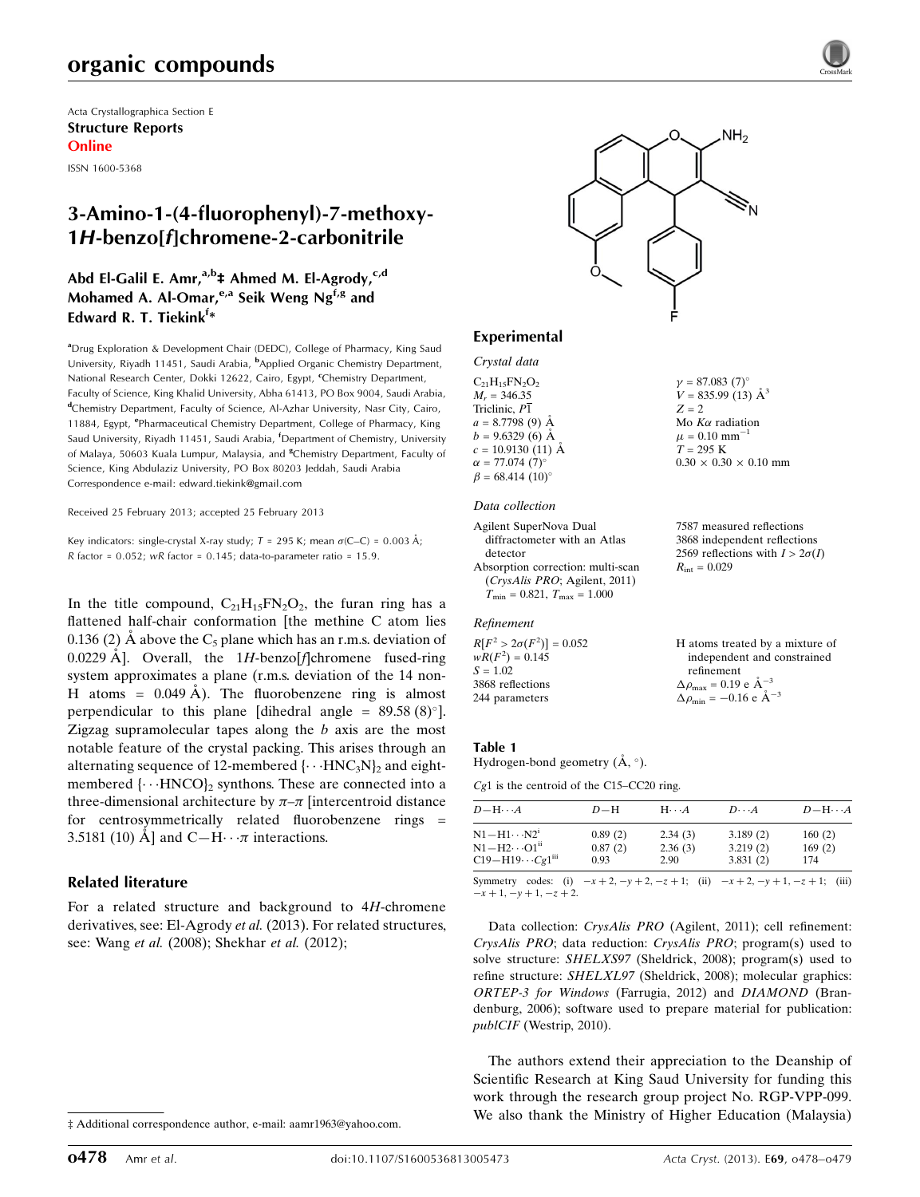# organic compounds

Acta Crystallographica Section E Structure Reports Online

ISSN 1600-5368

# 3-Amino-1-(4-fluorophenyl)-7-methoxy-1H-benzo[f]chromene-2-carbonitrile

## Abd El-Galil E. Amr,<sup>a,b</sup>‡ Ahmed M. El-Agrody,<sup>c,d</sup> Mohamed A. Al-Omar,<sup>e,a</sup> Seik Weng Ng<sup>f,g</sup> and Edward R. T. Tiekink<sup>f</sup>\*

<sup>a</sup>Drug Exploration & Development Chair (DEDC), College of Pharmacy, King Saud University, Riyadh 11451, Saudi Arabia, <sup>b</sup>Applied Organic Chemistry Department, National Research Center, Dokki 12622, Cairo, Egypt, <sup>c</sup>Chemistry Department, Faculty of Science, King Khalid University, Abha 61413, PO Box 9004, Saudi Arabia, <sup>d</sup>Chemistry Department, Faculty of Science, Al-Azhar University, Nasr City, Cairo, 11884, Egypt, <sup>e</sup>Pharmaceutical Chemistry Department, College of Pharmacy, King Saud University, Riyadh 11451, Saudi Arabia, <sup>f</sup>Department of Chemistry, University of Malaya, 50603 Kuala Lumpur, Malaysia, and <sup>8</sup>Chemistry Department, Faculty of Science, King Abdulaziz University, PO Box 80203 Jeddah, Saudi Arabia Correspondence e-mail: [edward.tiekink@gmail.com](https://scripts.iucr.org/cgi-bin/cr.cgi?rm=pdfbb&cnor=hb7049&bbid=BB8)

Received 25 February 2013; accepted 25 February 2013

Key indicators: single-crystal X-ray study;  $T = 295$  K; mean  $\sigma$ (C–C) = 0.003 Å; R factor =  $0.052$ ; wR factor =  $0.145$ ; data-to-parameter ratio = 15.9.

In the title compound,  $C_{21}H_{15}FN_{2}O_{2}$ , the furan ring has a flattened half-chair conformation [the methine C atom lies 0.136 (2) A above the  $C_5$  plane which has an r.m.s. deviation of 0.0229 Å. Overall, the  $1H$ -benzo[f]chromene fused-ring system approximates a plane (r.m.s. deviation of the 14 non-H atoms =  $0.049 \text{ Å}$ ). The fluorobenzene ring is almost perpendicular to this plane [dihedral angle =  $89.58(8)$ °]. Zigzag supramolecular tapes along the  $b$  axis are the most notable feature of the crystal packing. This arises through an alternating sequence of 12-membered  $\{\cdots HNC_3N\}$  and eightmembered  $\{\cdots\text{HNCO}\}_2$  synthons. These are connected into a three-dimensional architecture by  $\pi-\pi$  [intercentroid distance for centrosymmetrically related fluorobenzene rings = 3.5181 (10) A and C-H $\cdots$  *n* interactions.

## Related literature

For a related structure and background to 4H-chromene derivatives, see: El-Agrody et al. (2013). For related structures, see: Wang et al. (2008); Shekhar et al. (2012);





 $\gamma = 87.083 \ (7)^{\circ}$  $V = 835.99(13)$   $\AA^3$ 

Mo  $K\alpha$  radiation  $\mu = 0.10$  mm<sup>-1</sup>  $T = 295 K$ 

 $R_{\rm int} = 0.029$ 

refinement  $\Delta \rho_{\text{max}} = 0.19 \text{ e A}^{-3}$  $\Delta \rho_{\text{min}} = -0.16 \text{ e A}^{-3}$ 

 $0.30 \times 0.30 \times 0.10$  mm

7587 measured reflections 3868 independent reflections 2569 reflections with  $I > 2\sigma(I)$ 

H atoms treated by a mixture of independent and constrained

 $Z = 2$ 

## Experimental

Crystal data  $C_{21}H_{15}FN_{2}O_{2}$  $M_r = 346.35$ Triclinic, P1  $a = 8.7798(9)$  Å  $b = 9.6329(6)$  Å  $c = 10.9130$  (11) Å  $\alpha = 77.074$  (7)<sup>o</sup>  $\beta = 68.414 \ (10)^{\circ}$ 

#### Data collection

Agilent SuperNova Dual diffractometer with an Atlas detector Absorption correction: multi-scan (CrysAlis PRO; Agilent, 2011)  $T_{\text{min}} = 0.821, T_{\text{max}} = 1.000$ 

#### Refinement

 $R[F^2 > 2\sigma(F^2)] = 0.052$  $wR(F^2) = 0.145$  $S = 1.02$ 3868 reflections 244 parameters

#### Table 1

Hydrogen-bond geometry  $(\AA, \degree)$ .

Cg1 is the centroid of the C15–CC20 ring.

| $D - H \cdots A$                      | $D-H$   | $H\cdots A$ | $D\cdots A$                                                                 | $D - H \cdots A$ |
|---------------------------------------|---------|-------------|-----------------------------------------------------------------------------|------------------|
| $N1 - H1 \cdots N2^i$                 | 0.89(2) | 2.34(3)     | 3.189(2)                                                                    | 160(2)           |
| $N1 - H2 \cdots O1$ <sup>11</sup>     | 0.87(2) | 2.36(3)     | 3.219(2)                                                                    | 169(2)           |
| $C19 - H19 \cdots Cg1$ <sup>iii</sup> | 0.93    | 2.90        | 3.831(2)                                                                    | 174              |
| Symmetry                              |         |             | codes: (i) $-x+2$ , $-y+2$ , $-z+1$ ; (ii) $-x+2$ , $-y+1$ , $-z+1$ ; (iii) |                  |

 $-x + 1, -y + 1, -z + 2.$ 

Data collection: CrysAlis PRO (Agilent, 2011); cell refinement: CrysAlis PRO; data reduction: CrysAlis PRO; program(s) used to solve structure: SHELXS97 (Sheldrick, 2008); program(s) used to refine structure: SHELXL97 (Sheldrick, 2008); molecular graphics: ORTEP-3 for Windows (Farrugia, 2012) and DIAMOND (Brandenburg, 2006); software used to prepare material for publication: publCIF (Westrip, 2010).

The authors extend their appreciation to the Deanship of Scientific Research at King Saud University for funding this work through the research group project No. RGP-VPP-099. We also thank the Ministry of Higher Education (Malaysia)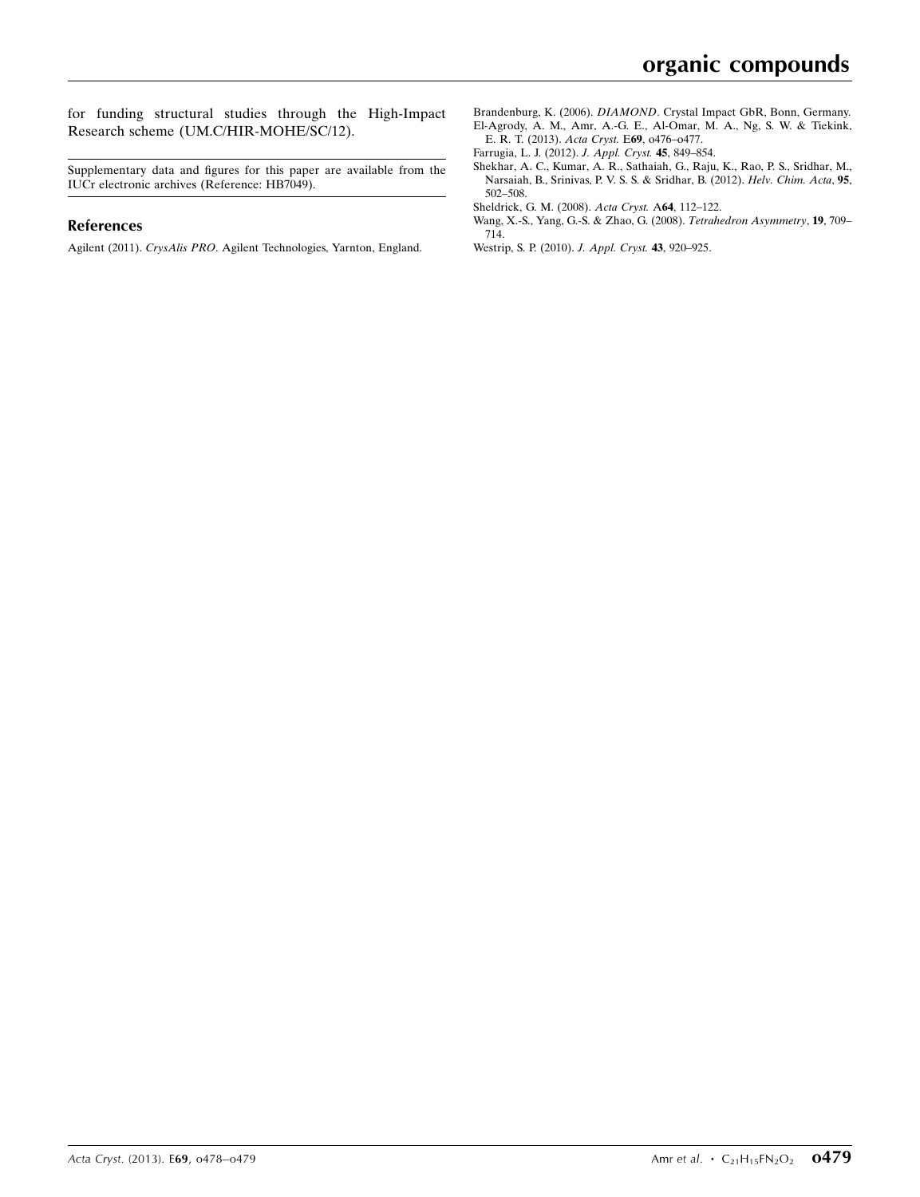for funding structural studies through the High-Impact Research scheme (UM.C/HIR-MOHE/SC/12).

Supplementary data and figures for this paper are available from the IUCr electronic archives (Reference: HB7049).

#### References

Agilent (2011). CrysAlis PRO[. Agilent Technologies, Yarnton, England.](https://scripts.iucr.org/cgi-bin/cr.cgi?rm=pdfbb&cnor=hb7049&bbid=BB1)

- Brandenburg, K. (2006). DIAMOND[. Crystal Impact GbR, Bonn, Germany.](https://scripts.iucr.org/cgi-bin/cr.cgi?rm=pdfbb&cnor=hb7049&bbid=BB2) [El-Agrody, A. M., Amr, A.-G. E., Al-Omar, M. A., Ng, S. W. & Tiekink,](https://scripts.iucr.org/cgi-bin/cr.cgi?rm=pdfbb&cnor=hb7049&bbid=BB3) [E. R. T. \(2013\).](https://scripts.iucr.org/cgi-bin/cr.cgi?rm=pdfbb&cnor=hb7049&bbid=BB3) Acta Cryst. E69, o476–o477.
- [Farrugia, L. J. \(2012\).](https://scripts.iucr.org/cgi-bin/cr.cgi?rm=pdfbb&cnor=hb7049&bbid=BB4) J. Appl. Cryst. 45, 849–854.
- [Shekhar, A. C., Kumar, A. R., Sathaiah, G., Raju, K., Rao, P. S., Sridhar, M.,](https://scripts.iucr.org/cgi-bin/cr.cgi?rm=pdfbb&cnor=hb7049&bbid=BB5) [Narsaiah, B., Srinivas, P. V. S. S. & Sridhar, B. \(2012\).](https://scripts.iucr.org/cgi-bin/cr.cgi?rm=pdfbb&cnor=hb7049&bbid=BB5) Helv. Chim. Acta, 95, [502–508.](https://scripts.iucr.org/cgi-bin/cr.cgi?rm=pdfbb&cnor=hb7049&bbid=BB5)
- [Sheldrick, G. M. \(2008\).](https://scripts.iucr.org/cgi-bin/cr.cgi?rm=pdfbb&cnor=hb7049&bbid=BB6) Acta Cryst. A64, 112–122.
- [Wang, X.-S., Yang, G.-S. & Zhao, G. \(2008\).](https://scripts.iucr.org/cgi-bin/cr.cgi?rm=pdfbb&cnor=hb7049&bbid=BB7) Tetrahedron Asymmetry, 19, 709– [714.](https://scripts.iucr.org/cgi-bin/cr.cgi?rm=pdfbb&cnor=hb7049&bbid=BB7)
- [Westrip, S. P. \(2010\).](https://scripts.iucr.org/cgi-bin/cr.cgi?rm=pdfbb&cnor=hb7049&bbid=BB8) J. Appl. Cryst. 43, 920–925.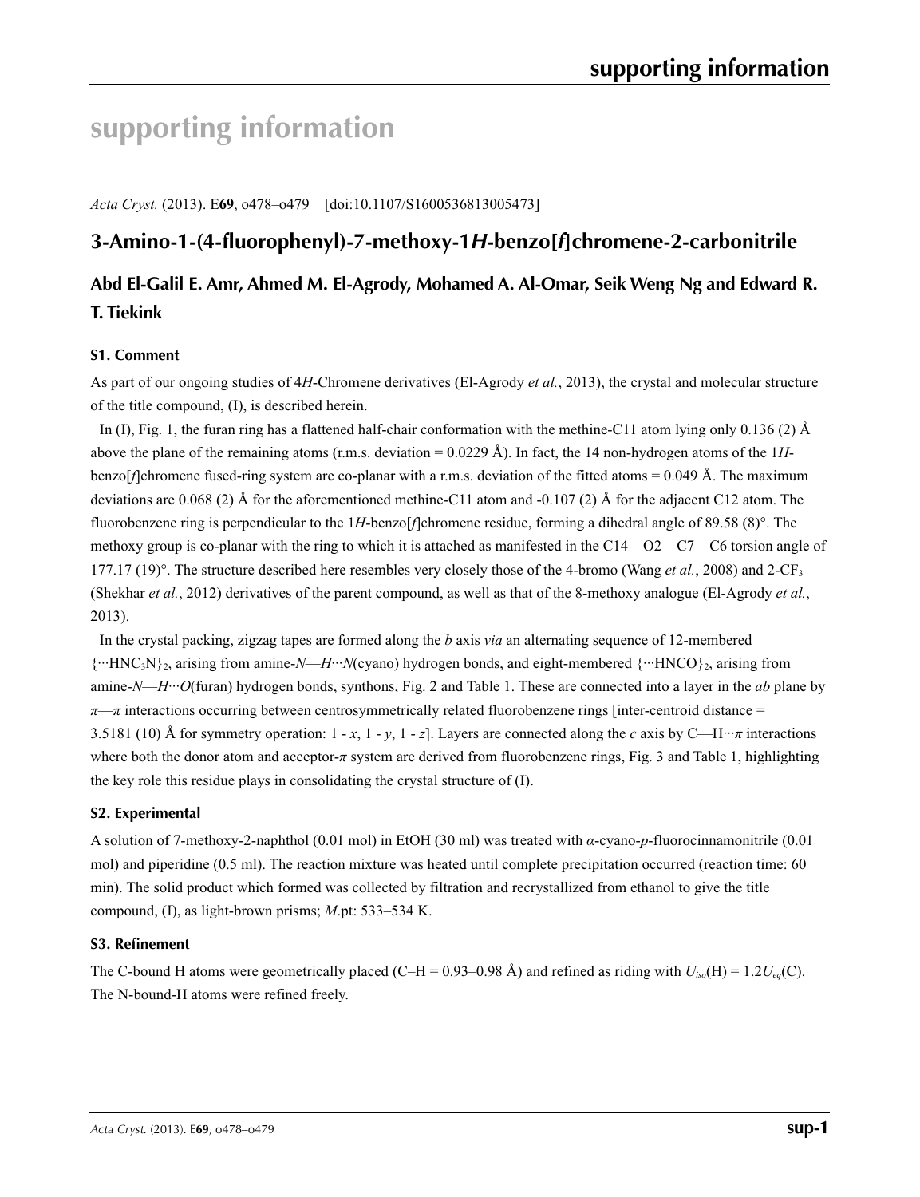# **supporting information**

*Acta Cryst.* (2013). E**69**, o478–o479 [doi:10.1107/S1600536813005473]

# **3-Amino-1-(4-fluorophenyl)-7-methoxy-1***H***-benzo[***f***]chromene-2-carbonitrile**

# **Abd El-Galil E. Amr, Ahmed M. El-Agrody, Mohamed A. Al-Omar, Seik Weng Ng and Edward R. T. Tiekink**

## **S1. Comment**

As part of our ongoing studies of 4*H*-Chromene derivatives (El-Agrody *et al.*, 2013), the crystal and molecular structure of the title compound, (I), is described herein.

In (I), Fig. 1, the furan ring has a flattened half-chair conformation with the methine-C11 atom lying only 0.136 (2)  $\AA$ above the plane of the remaining atoms (r.m.s. deviation = 0.0229 Å). In fact, the 14 non-hydrogen atoms of the 1*H*benzo[*f*]chromene fused-ring system are co-planar with a r.m.s. deviation of the fitted atoms = 0.049 Å. The maximum deviations are 0.068 (2) Å for the aforementioned methine-C11 atom and -0.107 (2) Å for the adjacent C12 atom. The fluorobenzene ring is perpendicular to the 1*H*-benzo[*f*]chromene residue, forming a dihedral angle of 89.58 (8)°. The methoxy group is co-planar with the ring to which it is attached as manifested in the C14—O2—C7—C6 torsion angle of 177.17 (19)°. The structure described here resembles very closely those of the 4-bromo (Wang *et al.*, 2008) and 2-CF3 (Shekhar *et al.*, 2012) derivatives of the parent compound, as well as that of the 8-methoxy analogue (El-Agrody *et al.*, 2013).

In the crystal packing, zigzag tapes are formed along the *b* axis *via* an alternating sequence of 12-membered {···HNC3N}2, arising from amine-*N*—*H*···*N*(cyano) hydrogen bonds, and eight-membered {···HNCO}2, arising from amine-*N*—*H*···*O*(furan) hydrogen bonds, synthons, Fig. 2 and Table 1. These are connected into a layer in the *ab* plane by *π—π* interactions occurring between centrosymmetrically related fluorobenzene rings [inter-centroid distance = 3.5181 (10) Å for symmetry operation:  $1 - x$ ,  $1 - y$ ,  $1 - z$ . Layers are connected along the *c* axis by C—H···*π* interactions where both the donor atom and acceptor-*π* system are derived from fluorobenzene rings, Fig. 3 and Table 1, highlighting the key role this residue plays in consolidating the crystal structure of (I).

## **S2. Experimental**

A solution of 7-methoxy-2-naphthol (0.01 mol) in EtOH (30 ml) was treated with *α*-cyano-*p*-fluorocinnamonitrile (0.01 mol) and piperidine (0.5 ml). The reaction mixture was heated until complete precipitation occurred (reaction time: 60 min). The solid product which formed was collected by filtration and recrystallized from ethanol to give the title compound, (I), as light-brown prisms; *M*.pt: 533–534 K.

## **S3. Refinement**

The C-bound H atoms were geometrically placed (C–H = 0.93–0.98 Å) and refined as riding with  $U_{iso}(H) = 1.2U_{eq}(C)$ . The N-bound-H atoms were refined freely.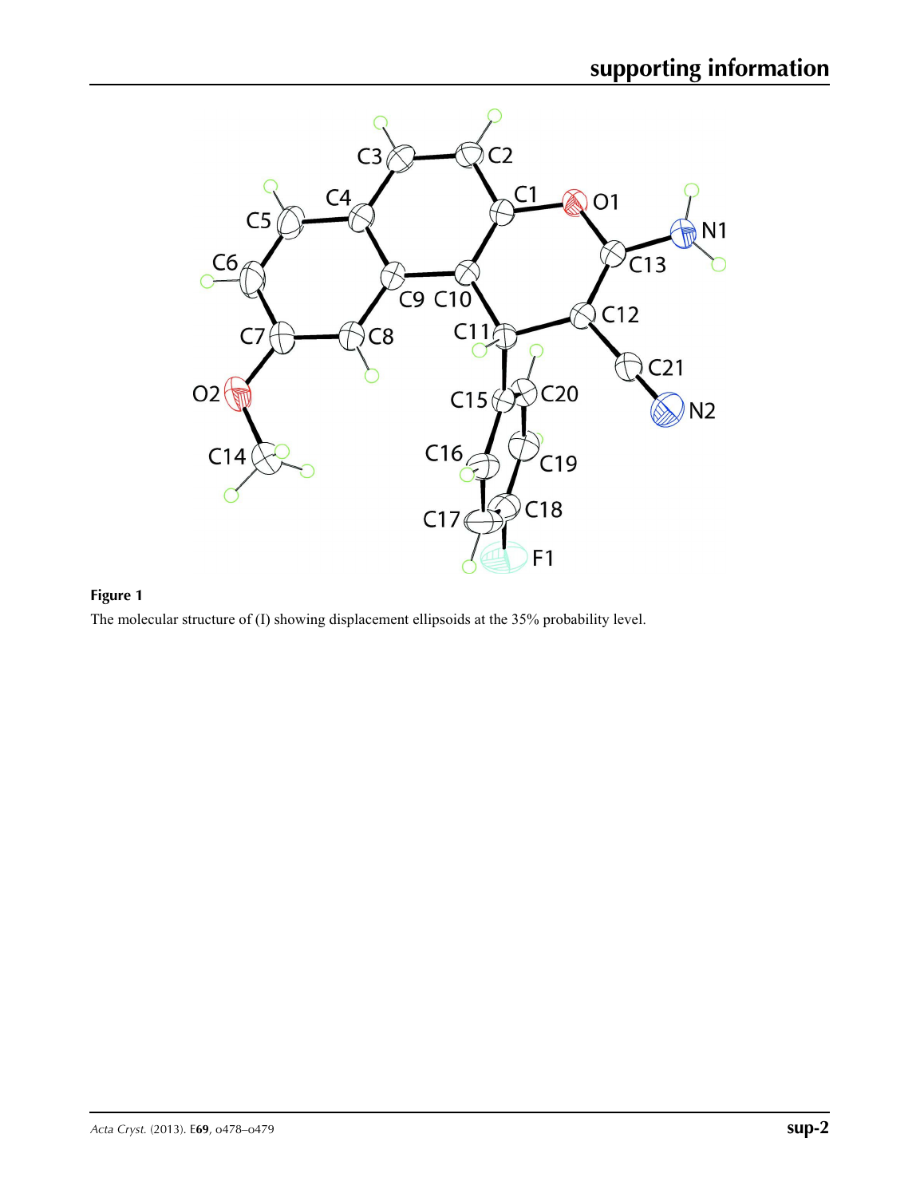

# **Figure 1**

The molecular structure of (I) showing displacement ellipsoids at the 35% probability level.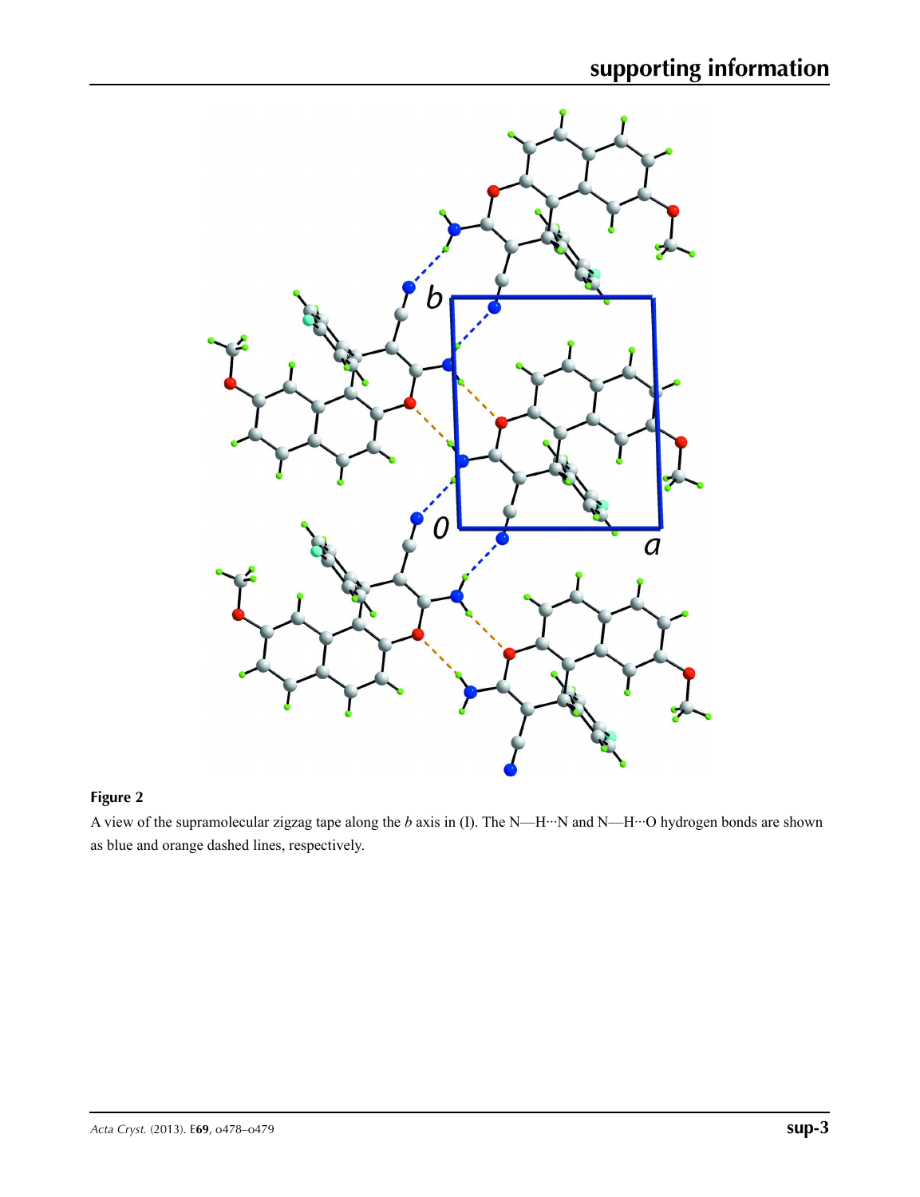

# **Figure 2**

A view of the supramolecular zigzag tape along the *b* axis in (I). The N—H···N and N—H···O hydrogen bonds are shown as blue and orange dashed lines, respectively.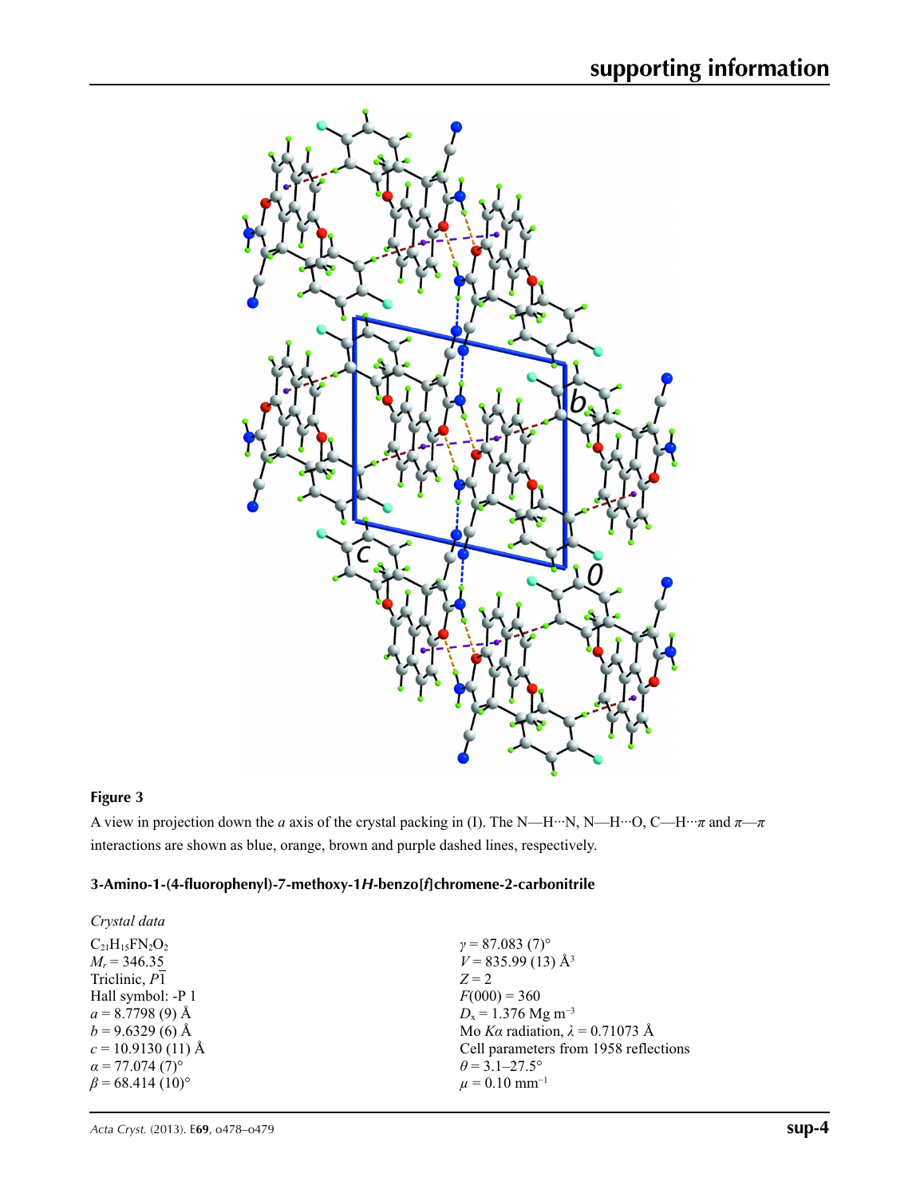

# **Figure 3**

A view in projection down the *a* axis of the crystal packing in (I). The N—H···N, N—H···O, C—H···*π* and *π*—*π* interactions are shown as blue, orange, brown and purple dashed lines, respectively.

# **3-Amino-1-(4-fluorophenyl)-7-methoxy-1***H***-benzo[***f***]chromene-2-carbonitrile**

| Crystal data                       |                                        |
|------------------------------------|----------------------------------------|
| $C_{21}H_{15}FN_{2}O_{2}$          | $\gamma = 87.083(7)$ °                 |
| $M_r = 346.35$                     | $V = 835.99(13)$ Å <sup>3</sup>        |
| Triclinic, P1                      | $Z = 2$                                |
| Hall symbol: -P 1                  | $F(000) = 360$                         |
| $a = 8.7798(9)$ Å                  | $D_x = 1.376$ Mg m <sup>-3</sup>       |
| $b = 9.6329(6)$ Å                  | Mo Ka radiation, $\lambda = 0.71073$ Å |
| $c = 10.9130(11)$ Å                | Cell parameters from 1958 reflections  |
| $\alpha$ = 77.074 (7)°             | $\theta$ = 3.1–27.5°                   |
| $\beta$ = 68.414 (10) <sup>o</sup> | $\mu = 0.10$ mm <sup>-1</sup>          |
|                                    |                                        |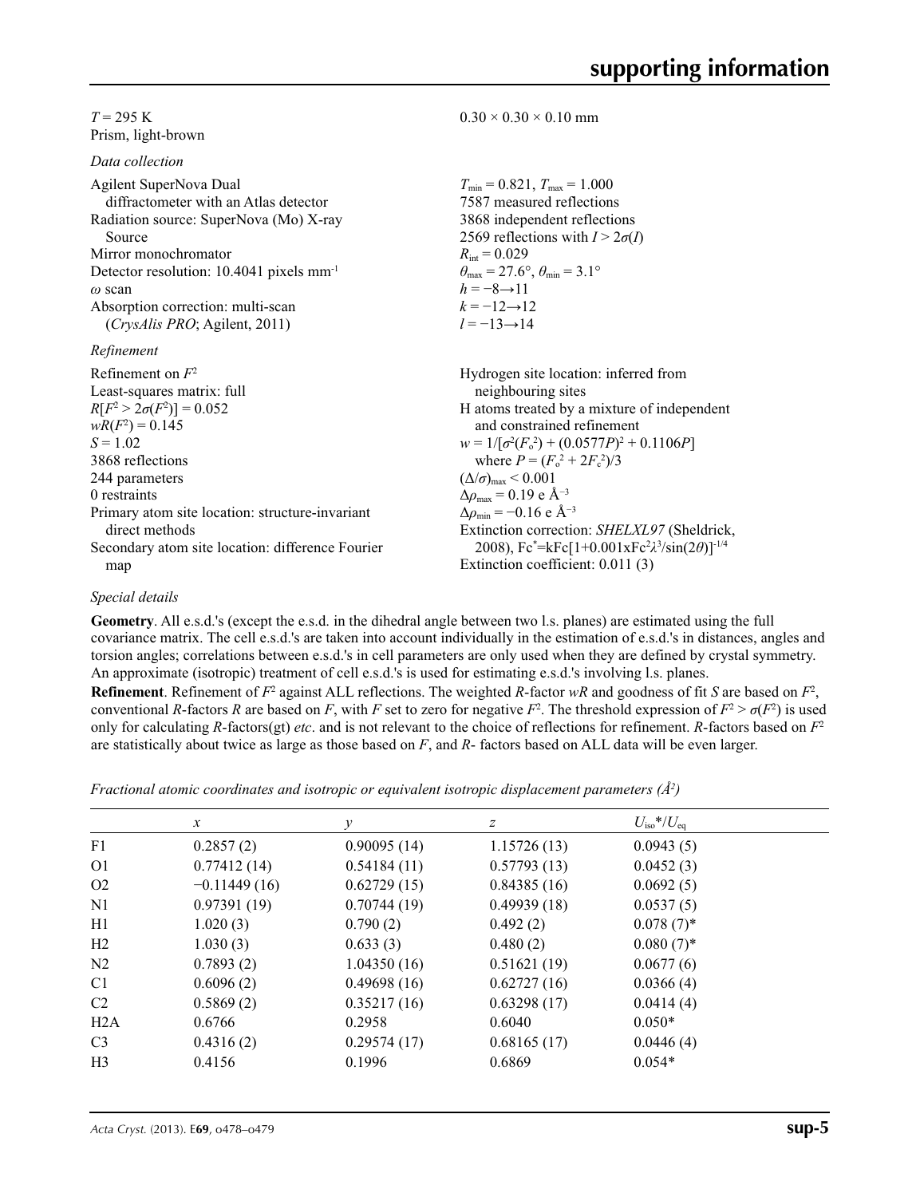#### $T = 295$  K Prism, light-brown

*Data collection*

| Agilent SuperNova Dual                               | $T_{\min} = 0.821$ , $T_{\max} = 1.000$                                 |
|------------------------------------------------------|-------------------------------------------------------------------------|
| diffractometer with an Atlas detector                | 7587 measured reflections                                               |
| Radiation source: SuperNova (Mo) X-ray               | 3868 independent reflections                                            |
| Source                                               | 2569 reflections with $I > 2\sigma(I)$                                  |
| Mirror monochromator                                 | $R_{\text{int}} = 0.029$                                                |
| Detector resolution: 10.4041 pixels mm <sup>-1</sup> | $\theta_{\text{max}} = 27.6^{\circ}, \theta_{\text{min}} = 3.1^{\circ}$ |
| $\omega$ scan                                        | $h = -8 \rightarrow 11$                                                 |
| Absorption correction: multi-scan                    | $k = -12 \rightarrow 12$                                                |
| (CrysAlis PRO; Agilent, 2011)                        | $l = -13 \rightarrow 14$                                                |
| Refinement                                           |                                                                         |
| Refinement on $F^2$                                  | Hydrogen site location: inferred from                                   |
| Least-squares matrix: full                           | neighbouring sites                                                      |
| $R[F^2 > 2\sigma(F^2)] = 0.052$                      | H atoms treated by a mixture of independent                             |
| $wR(F^2) = 0.145$                                    | and constrained refinement                                              |
| $S = 1.02$                                           | $w = 1/[\sigma^2(F_0^2) + (0.0577P)^2 + 0.1106P]$                       |
| 3868 reflections                                     | where $P = (F_0^2 + 2F_c^2)/3$                                          |
| 244 parameters                                       | $(\Delta/\sigma)_{\text{max}}$ < 0.001                                  |
| 0 restraints                                         | $\Delta\rho_{\text{max}}$ = 0.19 e Å <sup>-3</sup>                      |
| Primary atom site location: structure-invariant      | $\Delta\rho_{\rm min} = -0.16$ e Å <sup>-3</sup>                        |
| direct methods                                       | Extinction correction: SHELXL97 (Sheldrick,                             |
| Secondary atom site location: difference Fourier     | 2008), $Fc^* = kFc[1+0.001xFc^2\lambda^3/sin(2\theta)]^{-1/4}$          |
| map                                                  | Extinction coefficient: 0.011 (3)                                       |

 $0.30 \times 0.30 \times 0.10$  mm

#### *Special details*

**Geometry**. All e.s.d.'s (except the e.s.d. in the dihedral angle between two l.s. planes) are estimated using the full covariance matrix. The cell e.s.d.'s are taken into account individually in the estimation of e.s.d.'s in distances, angles and torsion angles; correlations between e.s.d.'s in cell parameters are only used when they are defined by crystal symmetry. An approximate (isotropic) treatment of cell e.s.d.'s is used for estimating e.s.d.'s involving l.s. planes.

**Refinement**. Refinement of  $F^2$  against ALL reflections. The weighted R-factor wR and goodness of fit *S* are based on  $F^2$ , conventional *R*-factors *R* are based on *F*, with *F* set to zero for negative  $F^2$ . The threshold expression of  $F^2 > \sigma(F^2)$  is used only for calculating *R*-factors(gt) *etc*. and is not relevant to the choice of reflections for refinement. *R*-factors based on *F*<sup>2</sup> are statistically about twice as large as those based on *F*, and *R*- factors based on ALL data will be even larger.

*Fractional atomic coordinates and isotropic or equivalent isotropic displacement parameters (Å<sup>2</sup>)* 

|                | $\mathcal{X}$  | v           | z           | $U_{\rm iso}*/U_{\rm eq}$ |  |
|----------------|----------------|-------------|-------------|---------------------------|--|
| F1             | 0.2857(2)      | 0.90095(14) | 1.15726(13) | 0.0943(5)                 |  |
| O <sub>1</sub> | 0.77412(14)    | 0.54184(11) | 0.57793(13) | 0.0452(3)                 |  |
| O <sub>2</sub> | $-0.11449(16)$ | 0.62729(15) | 0.84385(16) | 0.0692(5)                 |  |
| N <sub>1</sub> | 0.97391(19)    | 0.70744(19) | 0.49939(18) | 0.0537(5)                 |  |
| H1             | 1.020(3)       | 0.790(2)    | 0.492(2)    | $0.078(7)$ *              |  |
| H2             | 1.030(3)       | 0.633(3)    | 0.480(2)    | $0.080(7)$ *              |  |
| N <sub>2</sub> | 0.7893(2)      | 1.04350(16) | 0.51621(19) | 0.0677(6)                 |  |
| C <sub>1</sub> | 0.6096(2)      | 0.49698(16) | 0.62727(16) | 0.0366(4)                 |  |
| C <sub>2</sub> | 0.5869(2)      | 0.35217(16) | 0.63298(17) | 0.0414(4)                 |  |
| H2A            | 0.6766         | 0.2958      | 0.6040      | $0.050*$                  |  |
| C <sub>3</sub> | 0.4316(2)      | 0.29574(17) | 0.68165(17) | 0.0446(4)                 |  |
| H <sub>3</sub> | 0.4156         | 0.1996      | 0.6869      | $0.054*$                  |  |
|                |                |             |             |                           |  |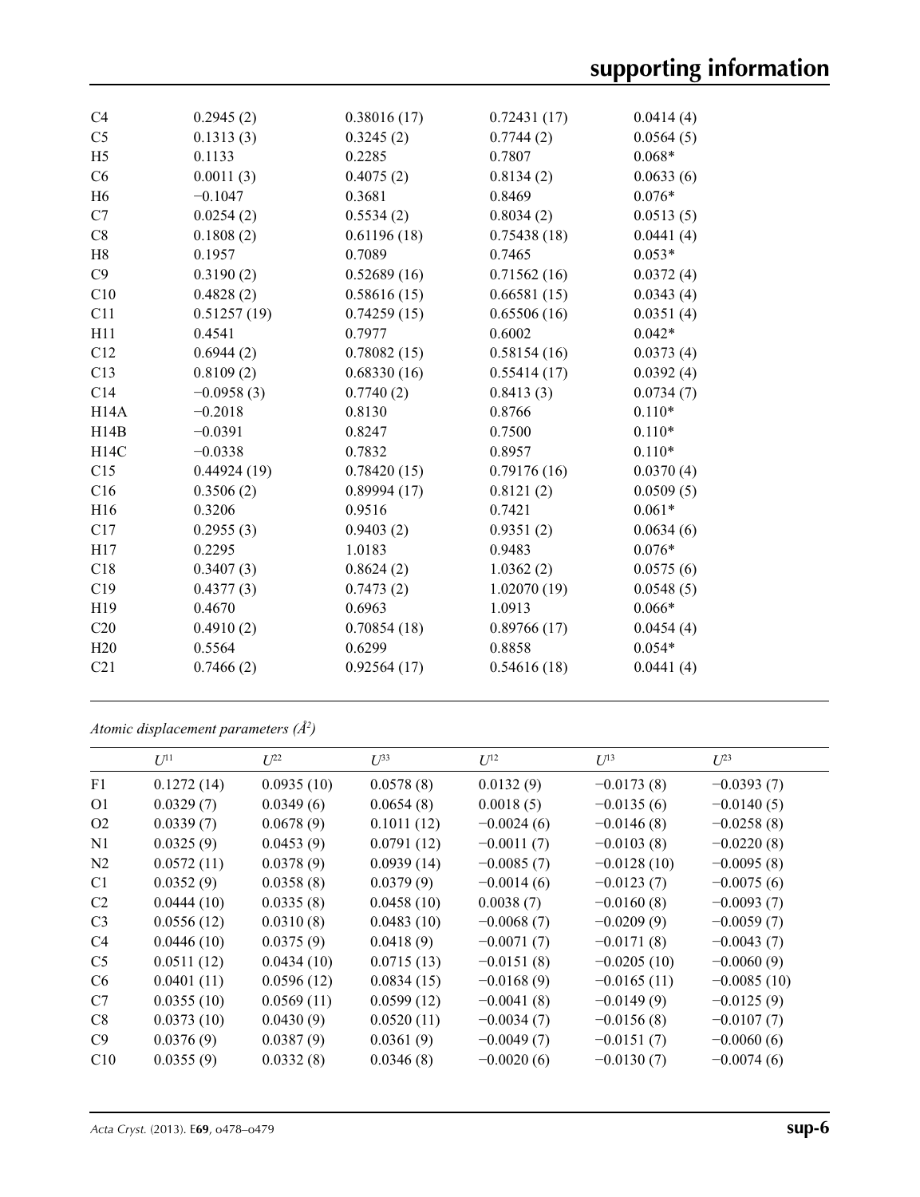| C4                | 0.2945(2)    | 0.38016(17) | 0.72431(17) | 0.0414(4) |
|-------------------|--------------|-------------|-------------|-----------|
| C <sub>5</sub>    | 0.1313(3)    | 0.3245(2)   | 0.7744(2)   | 0.0564(5) |
| H <sub>5</sub>    | 0.1133       | 0.2285      | 0.7807      | $0.068*$  |
| C6                | 0.0011(3)    | 0.4075(2)   | 0.8134(2)   | 0.0633(6) |
| H <sub>6</sub>    | $-0.1047$    | 0.3681      | 0.8469      | $0.076*$  |
| C7                | 0.0254(2)    | 0.5534(2)   | 0.8034(2)   | 0.0513(5) |
| C8                | 0.1808(2)    | 0.61196(18) | 0.75438(18) | 0.0441(4) |
| H8                | 0.1957       | 0.7089      | 0.7465      | $0.053*$  |
| C9                | 0.3190(2)    | 0.52689(16) | 0.71562(16) | 0.0372(4) |
| C10               | 0.4828(2)    | 0.58616(15) | 0.66581(15) | 0.0343(4) |
| C11               | 0.51257(19)  | 0.74259(15) | 0.65506(16) | 0.0351(4) |
| H11               | 0.4541       | 0.7977      | 0.6002      | $0.042*$  |
| C12               | 0.6944(2)    | 0.78082(15) | 0.58154(16) | 0.0373(4) |
| C13               | 0.8109(2)    | 0.68330(16) | 0.55414(17) | 0.0392(4) |
| C14               | $-0.0958(3)$ | 0.7740(2)   | 0.8413(3)   | 0.0734(7) |
| H <sub>14</sub> A | $-0.2018$    | 0.8130      | 0.8766      | $0.110*$  |
| H14B              | $-0.0391$    | 0.8247      | 0.7500      | $0.110*$  |
| H14C              | $-0.0338$    | 0.7832      | 0.8957      | $0.110*$  |
| C15               | 0.44924(19)  | 0.78420(15) | 0.79176(16) | 0.0370(4) |
| C16               | 0.3506(2)    | 0.89994(17) | 0.8121(2)   | 0.0509(5) |
| H <sub>16</sub>   | 0.3206       | 0.9516      | 0.7421      | $0.061*$  |
| C17               | 0.2955(3)    | 0.9403(2)   | 0.9351(2)   | 0.0634(6) |
| H17               | 0.2295       | 1.0183      | 0.9483      | $0.076*$  |
| C18               | 0.3407(3)    | 0.8624(2)   | 1.0362(2)   | 0.0575(6) |
| C19               | 0.4377(3)    | 0.7473(2)   | 1.02070(19) | 0.0548(5) |
| H19               | 0.4670       | 0.6963      | 1.0913      | $0.066*$  |
| C20               | 0.4910(2)    | 0.70854(18) | 0.89766(17) | 0.0454(4) |
| H20               | 0.5564       | 0.6299      | 0.8858      | $0.054*$  |
| C21               | 0.7466(2)    | 0.92564(17) | 0.54616(18) | 0.0441(4) |
|                   |              |             |             |           |

*Atomic displacement parameters (Å2 )*

|                | $U^{11}$   | $\mathcal{I}^{22}$ | $U^{33}$   | $U^{12}$     | $U^{13}$      | $L^{23}$      |
|----------------|------------|--------------------|------------|--------------|---------------|---------------|
| F1             | 0.1272(14) | 0.0935(10)         | 0.0578(8)  | 0.0132(9)    | $-0.0173(8)$  | $-0.0393(7)$  |
| O <sub>1</sub> | 0.0329(7)  | 0.0349(6)          | 0.0654(8)  | 0.0018(5)    | $-0.0135(6)$  | $-0.0140(5)$  |
| O <sub>2</sub> | 0.0339(7)  | 0.0678(9)          | 0.1011(12) | $-0.0024(6)$ | $-0.0146(8)$  | $-0.0258(8)$  |
| N <sub>1</sub> | 0.0325(9)  | 0.0453(9)          | 0.0791(12) | $-0.0011(7)$ | $-0.0103(8)$  | $-0.0220(8)$  |
| N <sub>2</sub> | 0.0572(11) | 0.0378(9)          | 0.0939(14) | $-0.0085(7)$ | $-0.0128(10)$ | $-0.0095(8)$  |
| C <sub>1</sub> | 0.0352(9)  | 0.0358(8)          | 0.0379(9)  | $-0.0014(6)$ | $-0.0123(7)$  | $-0.0075(6)$  |
| C <sub>2</sub> | 0.0444(10) | 0.0335(8)          | 0.0458(10) | 0.0038(7)    | $-0.0160(8)$  | $-0.0093(7)$  |
| C <sub>3</sub> | 0.0556(12) | 0.0310(8)          | 0.0483(10) | $-0.0068(7)$ | $-0.0209(9)$  | $-0.0059(7)$  |
| C4             | 0.0446(10) | 0.0375(9)          | 0.0418(9)  | $-0.0071(7)$ | $-0.0171(8)$  | $-0.0043(7)$  |
| C <sub>5</sub> | 0.0511(12) | 0.0434(10)         | 0.0715(13) | $-0.0151(8)$ | $-0.0205(10)$ | $-0.0060(9)$  |
| C <sub>6</sub> | 0.0401(11) | 0.0596(12)         | 0.0834(15) | $-0.0168(9)$ | $-0.0165(11)$ | $-0.0085(10)$ |
| C7             | 0.0355(10) | 0.0569(11)         | 0.0599(12) | $-0.0041(8)$ | $-0.0149(9)$  | $-0.0125(9)$  |
| C8             | 0.0373(10) | 0.0430(9)          | 0.0520(11) | $-0.0034(7)$ | $-0.0156(8)$  | $-0.0107(7)$  |
| C9             | 0.0376(9)  | 0.0387(9)          | 0.0361(9)  | $-0.0049(7)$ | $-0.0151(7)$  | $-0.0060(6)$  |
| C10            | 0.0355(9)  | 0.0332(8)          | 0.0346(8)  | $-0.0020(6)$ | $-0.0130(7)$  | $-0.0074(6)$  |
|                |            |                    |            |              |               |               |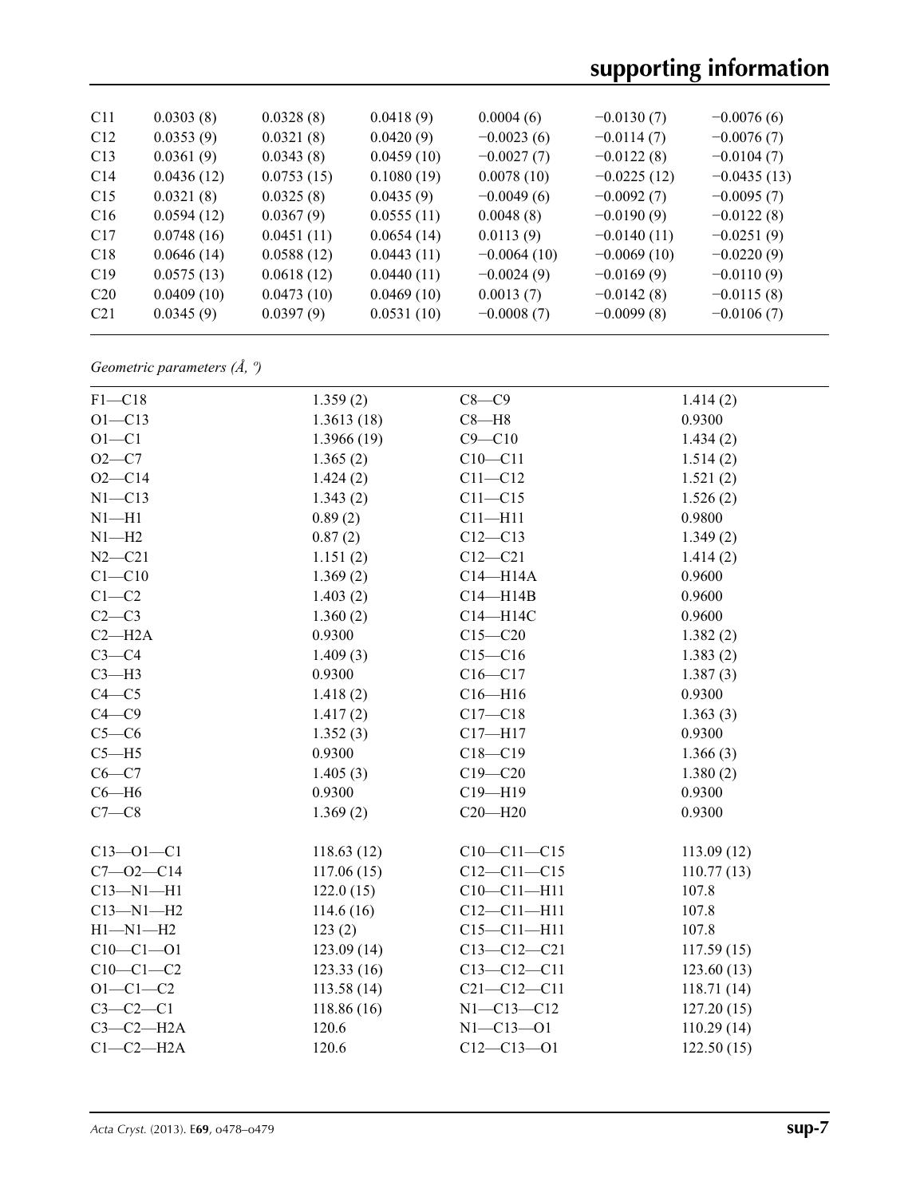| C <sub>11</sub> | 0.0303(8)  | 0.0328(8)  | 0.0418(9)  | 0.0004(6)     | $-0.0130(7)$  | $-0.0076(6)$  |
|-----------------|------------|------------|------------|---------------|---------------|---------------|
| C12             | 0.0353(9)  | 0.0321(8)  | 0.0420(9)  | $-0.0023(6)$  | $-0.0114(7)$  | $-0.0076(7)$  |
| C13             | 0.0361(9)  | 0.0343(8)  | 0.0459(10) | $-0.0027(7)$  | $-0.0122(8)$  | $-0.0104(7)$  |
| C14             | 0.0436(12) | 0.0753(15) | 0.1080(19) | 0.0078(10)    | $-0.0225(12)$ | $-0.0435(13)$ |
| C15             | 0.0321(8)  | 0.0325(8)  | 0.0435(9)  | $-0.0049(6)$  | $-0.0092(7)$  | $-0.0095(7)$  |
| C16             | 0.0594(12) | 0.0367(9)  | 0.0555(11) | 0.0048(8)     | $-0.0190(9)$  | $-0.0122(8)$  |
| C17             | 0.0748(16) | 0.0451(11) | 0.0654(14) | 0.0113(9)     | $-0.0140(11)$ | $-0.0251(9)$  |
| C18             | 0.0646(14) | 0.0588(12) | 0.0443(11) | $-0.0064(10)$ | $-0.0069(10)$ | $-0.0220(9)$  |
| C19             | 0.0575(13) | 0.0618(12) | 0.0440(11) | $-0.0024(9)$  | $-0.0169(9)$  | $-0.0110(9)$  |
| C <sub>20</sub> | 0.0409(10) | 0.0473(10) | 0.0469(10) | 0.0013(7)     | $-0.0142(8)$  | $-0.0115(8)$  |
| C <sub>21</sub> | 0.0345(9)  | 0.0397(9)  | 0.0531(10) | $-0.0008(7)$  | $-0.0099(8)$  | $-0.0106(7)$  |
|                 |            |            |            |               |               |               |

*Geometric parameters (Å, º)*

| $F1 - C18$      | 1.359(2)    | $C8 - C9$         | 1.414(2)   |
|-----------------|-------------|-------------------|------------|
| $O1 - C13$      | 1.3613(18)  | $C8 - H8$         | 0.9300     |
| $O1-C1$         | 1.3966(19)  | $C9 - C10$        | 1.434(2)   |
| $O2-C7$         | 1.365(2)    | $C10 - C11$       | 1.514(2)   |
| $O2 - C14$      | 1.424(2)    | $C11 - C12$       | 1.521(2)   |
| $N1 - C13$      | 1.343(2)    | $C11 - C15$       | 1.526(2)   |
| $N1 - H1$       | 0.89(2)     | $C11 - H11$       | 0.9800     |
| $N1 - H2$       | 0.87(2)     | $C12 - C13$       | 1.349(2)   |
| $N2 - C21$      | 1.151(2)    | $C12 - C21$       | 1.414(2)   |
| $C1 - C10$      | 1.369(2)    | $C14 - H14A$      | 0.9600     |
| $C1-C2$         | 1.403(2)    | $C14 - H14B$      | 0.9600     |
| $C2-C3$         | 1.360(2)    | C14-H14C          | 0.9600     |
| $C2 - H2A$      | 0.9300      | $C15 - C20$       | 1.382(2)   |
| $C3-C4$         | 1.409(3)    | $C15 - C16$       | 1.383(2)   |
| $C3-H3$         | 0.9300      | $C16 - C17$       | 1.387(3)   |
| $C4 - C5$       | 1.418(2)    | $C16 - H16$       | 0.9300     |
| $C4 - C9$       | 1.417(2)    | $C17 - C18$       | 1.363(3)   |
| $C5-C6$         | 1.352(3)    | $C17 - H17$       | 0.9300     |
| $C5 - H5$       | 0.9300      | $C18 - C19$       | 1.366(3)   |
| $C6-C7$         | 1.405(3)    | $C19 - C20$       | 1.380(2)   |
| $C6 - H6$       | 0.9300      | $C19 - H19$       | 0.9300     |
| $C7-C8$         | 1.369(2)    | $C20 - H20$       | 0.9300     |
| $C13 - 01 - C1$ | 118.63(12)  | $C10-C11-C15$     | 113.09(12) |
| $C7 - 02 - C14$ | 117.06(15)  | $C12 - C11 - C15$ | 110.77(13) |
| $C13 - N1 - H1$ | 122.0(15)   | $C10-C11-H11$     | 107.8      |
| $C13 - N1 - H2$ | 114.6(16)   | $C12 - C11 - H11$ | 107.8      |
| $H1 - N1 - H2$  | 123(2)      | $C15 - C11 - H11$ | 107.8      |
| $C10-C1-01$     | 123.09(14)  | $C13 - C12 - C21$ | 117.59(15) |
| $C10-C1-C2$     | 123.33(16)  | $C13 - C12 - C11$ | 123.60(13) |
| $O1 - C1 - C2$  | 113.58(14)  | $C21 - C12 - C11$ | 118.71(14) |
| $C3-C2-C1$      | 118.86 (16) | $N1 - C13 - C12$  | 127.20(15) |
| $C3-C2-H2A$     | 120.6       | $N1 - C13 - O1$   | 110.29(14) |
| $C1-C2-H2A$     | 120.6       | $C12 - C13 - O1$  | 122.50(15) |
|                 |             |                   |            |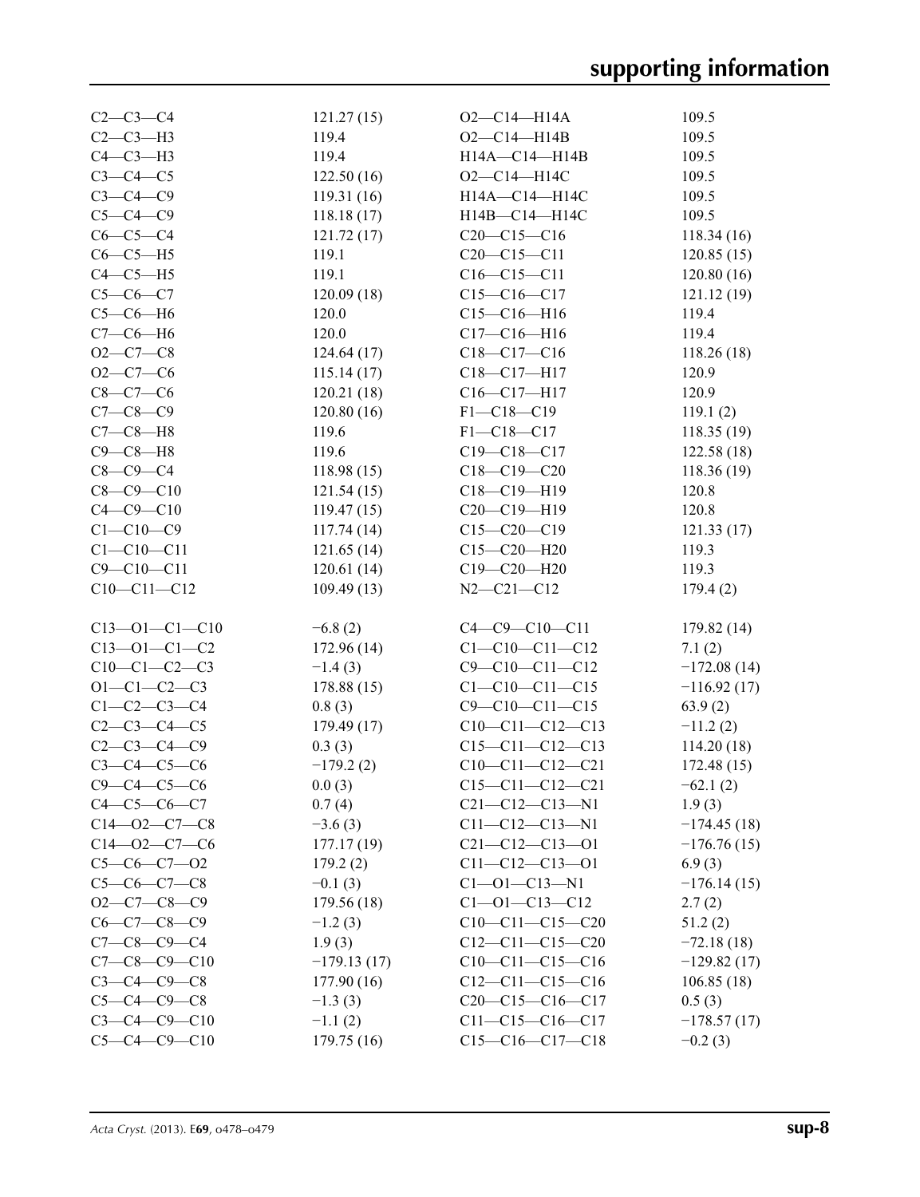| $C2 - C3 - C4$        | 121.27(15)    | $O2-C14-H14A$          | 109.5         |
|-----------------------|---------------|------------------------|---------------|
| $C2-C3-H3$            | 119.4         | $O2 - C14 - H14B$      | 109.5         |
| $C4-C3-H3$            | 119.4         | H14A-C14-H14B          | 109.5         |
| $C3-C4-C5$            | 122.50(16)    | $O2 - C14 - H14C$      | 109.5         |
| $C3-C4-C9$            | 119.31(16)    | H14A-C14-H14C          | 109.5         |
| $C5-C4-C9$            | 118.18(17)    | H14B-C14-H14C          | 109.5         |
| $C6-C5-C4$            | 121.72(17)    | $C20-C15-C16$          | 118.34(16)    |
| $C6-C5-H5$            | 119.1         | $C20 - C15 - C11$      | 120.85(15)    |
| $C4-C5-H5$            | 119.1         | $C16-C15-C11$          | 120.80(16)    |
| $C5-C6-C7$            | 120.09(18)    | $C15-C16-C17$          | 121.12(19)    |
| $C5-C6-H6$            | 120.0         | $C15-C16-H16$          | 119.4         |
| $C7-C6-H6$            | 120.0         | $C17 - C16 - H16$      | 119.4         |
| $O2 - C7 - C8$        | 124.64(17)    | $C18 - C17 - C16$      | 118.26(18)    |
| $O2-C7-C6$            | 115.14(17)    | C18-C17-H17            | 120.9         |
| $C8-C7-C6$            | 120.21(18)    | C16-C17-H17            | 120.9         |
| $C7-C8-C9$            | 120.80(16)    | $F1 - C18 - C19$       | 119.1(2)      |
| $C7-C8-H8$            | 119.6         | $F1 - C18 - C17$       | 118.35(19)    |
| $C9 - C8 - H8$        | 119.6         | $C19 - C18 - C17$      | 122.58(18)    |
| $C8-C9-C4$            | 118.98(15)    | $C18 - C19 - C20$      | 118.36(19)    |
| $C8 - C9 - C10$       | 121.54(15)    | C18-C19-H19            | 120.8         |
| $C4 - C9 - C10$       | 119.47(15)    | $C20-C19-H19$          | 120.8         |
| $C1 - C10 - C9$       | 117.74(14)    | $C15-C20-C19$          | 121.33(17)    |
| $C1 - C10 - C11$      | 121.65(14)    | $C15 - C20 - H20$      | 119.3         |
| $C9 - C10 - C11$      | 120.61(14)    | $C19 - C20 - H20$      | 119.3         |
| $C10-C11-C12$         | 109.49(13)    | $N2 - C21 - C12$       | 179.4(2)      |
|                       |               |                        |               |
| $C13 - 01 - C1 - C10$ | $-6.8(2)$     | $C4 - C9 - C10 - C11$  | 179.82(14)    |
| $C13 - 01 - C1 - C2$  | 172.96(14)    | $C1 - C10 - C11 - C12$ | 7.1(2)        |
| $C10-C1-C2-C3$        | $-1.4(3)$     | $C9 - C10 - C11 - C12$ | $-172.08(14)$ |
| $O1 - C1 - C2 - C3$   | 178.88(15)    | $C1 - C10 - C11 - C15$ | $-116.92(17)$ |
| $C1 - C2 - C3 - C4$   | 0.8(3)        | $C9 - C10 - C11 - C15$ | 63.9(2)       |
| $C2 - C3 - C4 - C5$   | 179.49(17)    | $C10-C11-C12-C13$      | $-11.2(2)$    |
| $C2 - C3 - C4 - C9$   | 0.3(3)        | $C15-C11-C12-C13$      | 114.20(18)    |
| $C3 - C4 - C5 - C6$   | $-179.2(2)$   | $C10-C11-C12-C21$      | 172.48(15)    |
| $C9 - C4 - C5 - C6$   | 0.0(3)        | $C15-C11-C12-C21$      | $-62.1(2)$    |
| $C4-C5-C6-C7$         | 0.7(4)        | $C21 - C12 - C13 - N1$ | 1.9(3)        |
| $C14 - 02 - C7 - C8$  | $-3.6(3)$     | $C11 - C12 - C13 - N1$ | $-174.45(18)$ |
| $C14 - 02 - C7 - C6$  | 177.17(19)    | $C21 - C12 - C13 - O1$ | $-176.76(15)$ |
| $C5-C6-C7-02$         | 179.2(2)      | $C11 - C12 - C13 - 01$ | 6.9(3)        |
| $C5-C6-C7-C8$         | $-0.1(3)$     | $C1 - 01 - C13 - N1$   | $-176.14(15)$ |
| $O2-C7-C8-C9$         | 179.56(18)    | $C1 - 01 - C13 - C12$  | 2.7(2)        |
| $C6-C7-C8-C9$         | $-1.2(3)$     | $C10-C11-C15-C20$      | 51.2(2)       |
| $C7 - C8 - C9 - C4$   | 1.9(3)        | $C12-C11-C15-C20$      | $-72.18(18)$  |
| $C7 - C8 - C9 - C10$  | $-179.13(17)$ | $C10-C11-C15-C16$      | $-129.82(17)$ |
| $C3 - C4 - C9 - C8$   | 177.90(16)    | $C12-C11-C15-C16$      | 106.85(18)    |
| $C5 - C4 - C9 - C8$   | $-1.3(3)$     | $C20-C15-C16-C17$      | 0.5(3)        |
| $C3 - C4 - C9 - C10$  | $-1.1(2)$     | $C11-C15-C16-C17$      | $-178.57(17)$ |
| $C5 - C4 - C9 - C10$  | 179.75(16)    | $C15-C16-C17-C18$      | $-0.2(3)$     |
|                       |               |                        |               |